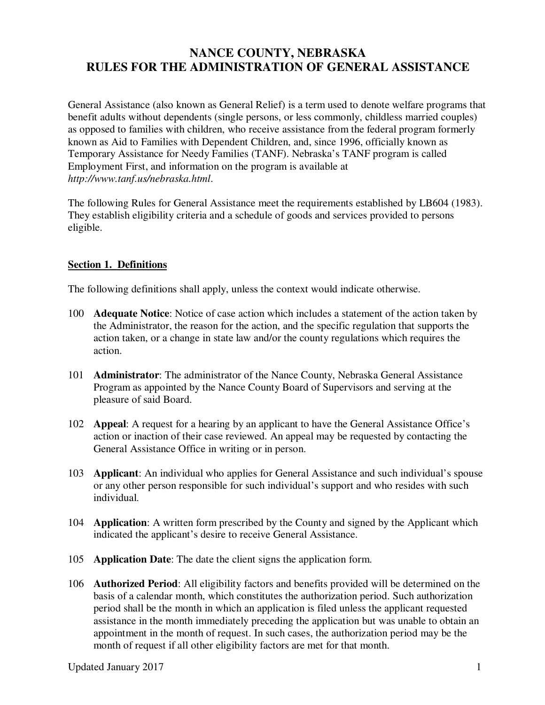# **NANCE COUNTY, NEBRASKA RULES FOR THE ADMINISTRATION OF GENERAL ASSISTANCE**

General Assistance (also known as General Relief) is a term used to denote welfare programs that benefit adults without dependents (single persons, or less commonly, childless married couples) as opposed to families with children, who receive assistance from the federal program formerly known as Aid to Families with Dependent Children, and, since 1996, officially known as Temporary Assistance for Needy Families (TANF). Nebraska's TANF program is called Employment First, and information on the program is available at *http://www.tanf.us/nebraska.html*.

The following Rules for General Assistance meet the requirements established by LB604 (1983). They establish eligibility criteria and a schedule of goods and services provided to persons eligible.

## **Section 1. Definitions**

The following definitions shall apply, unless the context would indicate otherwise.

- 100 **Adequate Notice**: Notice of case action which includes a statement of the action taken by the Administrator, the reason for the action, and the specific regulation that supports the action taken, or a change in state law and/or the county regulations which requires the action.
- 101 **Administrator**: The administrator of the Nance County, Nebraska General Assistance Program as appointed by the Nance County Board of Supervisors and serving at the pleasure of said Board.
- 102 **Appeal**: A request for a hearing by an applicant to have the General Assistance Office's action or inaction of their case reviewed. An appeal may be requested by contacting the General Assistance Office in writing or in person.
- 103 **Applicant**: An individual who applies for General Assistance and such individual's spouse or any other person responsible for such individual's support and who resides with such individual.
- 104 **Application**: A written form prescribed by the County and signed by the Applicant which indicated the applicant's desire to receive General Assistance.
- 105 **Application Date**: The date the client signs the application form.
- 106 **Authorized Period**: All eligibility factors and benefits provided will be determined on the basis of a calendar month, which constitutes the authorization period. Such authorization period shall be the month in which an application is filed unless the applicant requested assistance in the month immediately preceding the application but was unable to obtain an appointment in the month of request. In such cases, the authorization period may be the month of request if all other eligibility factors are met for that month.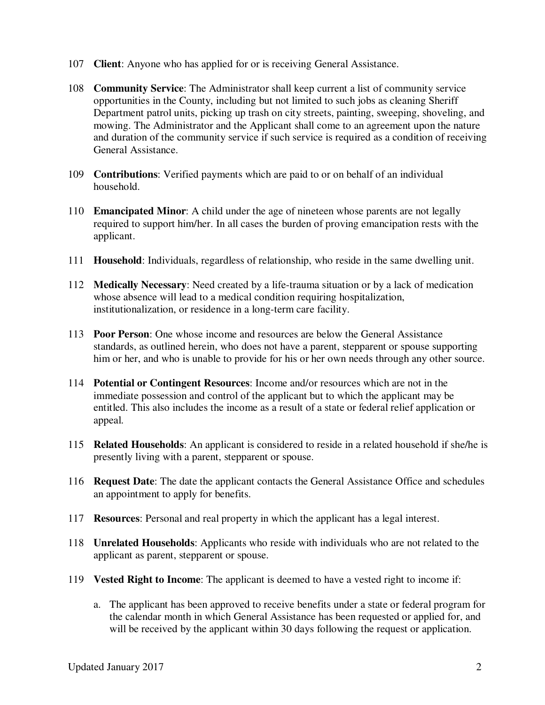- 107 **Client**: Anyone who has applied for or is receiving General Assistance.
- 108 **Community Service**: The Administrator shall keep current a list of community service opportunities in the County, including but not limited to such jobs as cleaning Sheriff Department patrol units, picking up trash on city streets, painting, sweeping, shoveling, and mowing. The Administrator and the Applicant shall come to an agreement upon the nature and duration of the community service if such service is required as a condition of receiving General Assistance.
- 109 **Contributions**: Verified payments which are paid to or on behalf of an individual household.
- 110 **Emancipated Minor**: A child under the age of nineteen whose parents are not legally required to support him/her. In all cases the burden of proving emancipation rests with the applicant.
- 111 **Household**: Individuals, regardless of relationship, who reside in the same dwelling unit.
- 112 **Medically Necessary**: Need created by a life-trauma situation or by a lack of medication whose absence will lead to a medical condition requiring hospitalization, institutionalization, or residence in a long-term care facility.
- 113 **Poor Person**: One whose income and resources are below the General Assistance standards, as outlined herein, who does not have a parent, stepparent or spouse supporting him or her, and who is unable to provide for his or her own needs through any other source.
- 114 **Potential or Contingent Resources**: Income and/or resources which are not in the immediate possession and control of the applicant but to which the applicant may be entitled. This also includes the income as a result of a state or federal relief application or appeal.
- 115 **Related Households**: An applicant is considered to reside in a related household if she/he is presently living with a parent, stepparent or spouse.
- 116 **Request Date**: The date the applicant contacts the General Assistance Office and schedules an appointment to apply for benefits.
- 117 **Resources**: Personal and real property in which the applicant has a legal interest.
- 118 **Unrelated Households**: Applicants who reside with individuals who are not related to the applicant as parent, stepparent or spouse.
- 119 **Vested Right to Income**: The applicant is deemed to have a vested right to income if:
	- a. The applicant has been approved to receive benefits under a state or federal program for the calendar month in which General Assistance has been requested or applied for, and will be received by the applicant within 30 days following the request or application.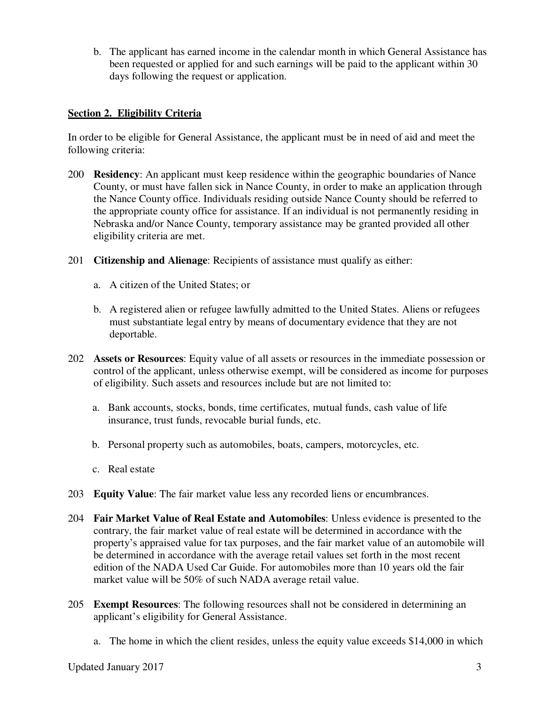b. The applicant has earned income in the calendar month in which General Assistance has been requested or applied for and such earnings will be paid to the applicant within 30 days following the request or application.

## **Section 2. Eligibility Criteria**

In order to be eligible for General Assistance, the applicant must be in need of aid and meet the following criteria:

- 200 **Residency**: An applicant must keep residence within the geographic boundaries of Nance County, or must have fallen sick in Nance County, in order to make an application through the Nance County office. Individuals residing outside Nance County should be referred to the appropriate county office for assistance. If an individual is not permanently residing in Nebraska and/or Nance County, temporary assistance may be granted provided all other eligibility criteria are met.
- 201 **Citizenship and Alienage**: Recipients of assistance must qualify as either:
	- a. A citizen of the United States; or
	- b. A registered alien or refugee lawfully admitted to the United States. Aliens or refugees must substantiate legal entry by means of documentary evidence that they are not deportable.
- 202 **Assets or Resources**: Equity value of all assets or resources in the immediate possession or control of the applicant, unless otherwise exempt, will be considered as income for purposes of eligibility. Such assets and resources include but are not limited to:
	- a. Bank accounts, stocks, bonds, time certificates, mutual funds, cash value of life insurance, trust funds, revocable burial funds, etc.
	- b. Personal property such as automobiles, boats, campers, motorcycles, etc.
	- c. Real estate
- 203 **Equity Value**: The fair market value less any recorded liens or encumbrances.
- 204 **Fair Market Value of Real Estate and Automobiles**: Unless evidence is presented to the contrary, the fair market value of real estate will be determined in accordance with the property's appraised value for tax purposes, and the fair market value of an automobile will be determined in accordance with the average retail values set forth in the most recent edition of the NADA Used Car Guide. For automobiles more than 10 years old the fair market value will be 50% of such NADA average retail value.
- 205 **Exempt Resources**: The following resources shall not be considered in determining an applicant's eligibility for General Assistance.
	- a. The home in which the client resides, unless the equity value exceeds \$14,000 in which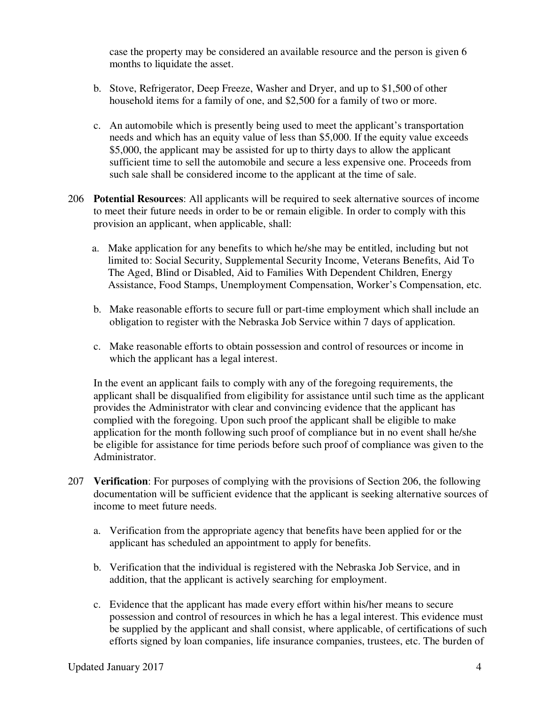case the property may be considered an available resource and the person is given 6 months to liquidate the asset.

- b. Stove, Refrigerator, Deep Freeze, Washer and Dryer, and up to \$1,500 of other household items for a family of one, and \$2,500 for a family of two or more.
- c. An automobile which is presently being used to meet the applicant's transportation needs and which has an equity value of less than \$5,000. If the equity value exceeds \$5,000, the applicant may be assisted for up to thirty days to allow the applicant sufficient time to sell the automobile and secure a less expensive one. Proceeds from such sale shall be considered income to the applicant at the time of sale.
- 206 **Potential Resources**: All applicants will be required to seek alternative sources of income to meet their future needs in order to be or remain eligible. In order to comply with this provision an applicant, when applicable, shall:
	- a. Make application for any benefits to which he/she may be entitled, including but not limited to: Social Security, Supplemental Security Income, Veterans Benefits, Aid To The Aged, Blind or Disabled, Aid to Families With Dependent Children, Energy Assistance, Food Stamps, Unemployment Compensation, Worker's Compensation, etc.
	- b. Make reasonable efforts to secure full or part-time employment which shall include an obligation to register with the Nebraska Job Service within 7 days of application.
	- c. Make reasonable efforts to obtain possession and control of resources or income in which the applicant has a legal interest.

In the event an applicant fails to comply with any of the foregoing requirements, the applicant shall be disqualified from eligibility for assistance until such time as the applicant provides the Administrator with clear and convincing evidence that the applicant has complied with the foregoing. Upon such proof the applicant shall be eligible to make application for the month following such proof of compliance but in no event shall he/she be eligible for assistance for time periods before such proof of compliance was given to the Administrator.

- 207 **Verification**: For purposes of complying with the provisions of Section 206, the following documentation will be sufficient evidence that the applicant is seeking alternative sources of income to meet future needs.
	- a. Verification from the appropriate agency that benefits have been applied for or the applicant has scheduled an appointment to apply for benefits.
	- b. Verification that the individual is registered with the Nebraska Job Service, and in addition, that the applicant is actively searching for employment.
	- c. Evidence that the applicant has made every effort within his/her means to secure possession and control of resources in which he has a legal interest. This evidence must be supplied by the applicant and shall consist, where applicable, of certifications of such efforts signed by loan companies, life insurance companies, trustees, etc. The burden of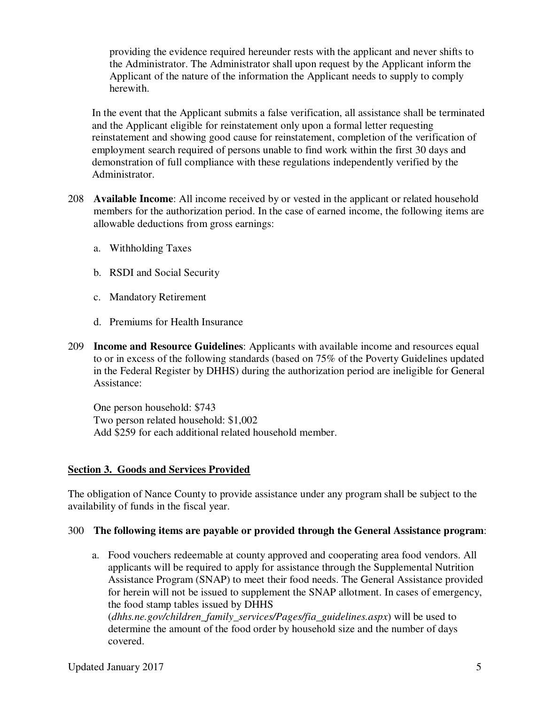providing the evidence required hereunder rests with the applicant and never shifts to the Administrator. The Administrator shall upon request by the Applicant inform the Applicant of the nature of the information the Applicant needs to supply to comply herewith.

In the event that the Applicant submits a false verification, all assistance shall be terminated and the Applicant eligible for reinstatement only upon a formal letter requesting reinstatement and showing good cause for reinstatement, completion of the verification of employment search required of persons unable to find work within the first 30 days and demonstration of full compliance with these regulations independently verified by the Administrator.

- 208 **Available Income**: All income received by or vested in the applicant or related household members for the authorization period. In the case of earned income, the following items are allowable deductions from gross earnings:
	- a. Withholding Taxes
	- b. RSDI and Social Security
	- c. Mandatory Retirement
	- d. Premiums for Health Insurance
- 209 **Income and Resource Guidelines**: Applicants with available income and resources equal to or in excess of the following standards (based on 75% of the Poverty Guidelines updated in the Federal Register by DHHS) during the authorization period are ineligible for General Assistance:

One person household: \$743 Two person related household: \$1,002 Add \$259 for each additional related household member.

# **Section 3. Goods and Services Provided**

The obligation of Nance County to provide assistance under any program shall be subject to the availability of funds in the fiscal year.

#### 300 **The following items are payable or provided through the General Assistance program**:

a. Food vouchers redeemable at county approved and cooperating area food vendors. All applicants will be required to apply for assistance through the Supplemental Nutrition Assistance Program (SNAP) to meet their food needs. The General Assistance provided for herein will not be issued to supplement the SNAP allotment. In cases of emergency, the food stamp tables issued by DHHS

(*dhhs.ne.gov/children\_family\_services/Pages/fia\_guidelines.aspx*) will be used to determine the amount of the food order by household size and the number of days covered.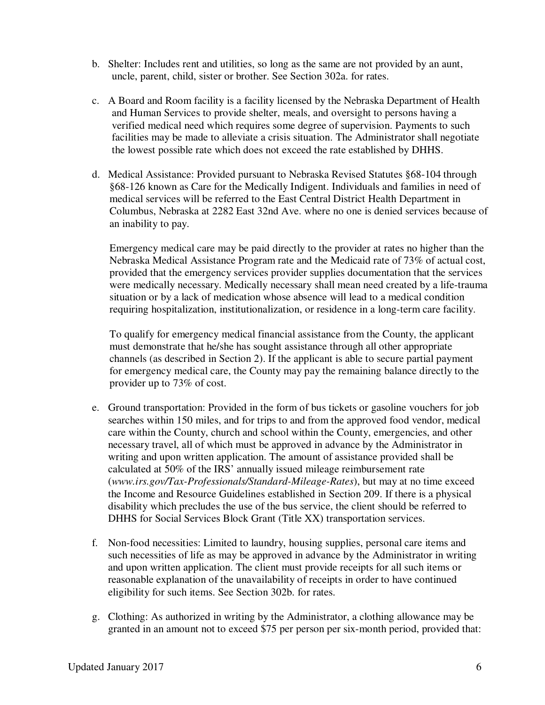- b. Shelter: Includes rent and utilities, so long as the same are not provided by an aunt, uncle, parent, child, sister or brother. See Section 302a. for rates.
- c. A Board and Room facility is a facility licensed by the Nebraska Department of Health and Human Services to provide shelter, meals, and oversight to persons having a verified medical need which requires some degree of supervision. Payments to such facilities may be made to alleviate a crisis situation. The Administrator shall negotiate the lowest possible rate which does not exceed the rate established by DHHS.
- d. Medical Assistance: Provided pursuant to Nebraska Revised Statutes §68-104 through §68-126 known as Care for the Medically Indigent. Individuals and families in need of medical services will be referred to the East Central District Health Department in Columbus, Nebraska at 2282 East 32nd Ave. where no one is denied services because of an inability to pay.

Emergency medical care may be paid directly to the provider at rates no higher than the Nebraska Medical Assistance Program rate and the Medicaid rate of 73% of actual cost, provided that the emergency services provider supplies documentation that the services were medically necessary. Medically necessary shall mean need created by a life-trauma situation or by a lack of medication whose absence will lead to a medical condition requiring hospitalization, institutionalization, or residence in a long-term care facility.

To qualify for emergency medical financial assistance from the County, the applicant must demonstrate that he/she has sought assistance through all other appropriate channels (as described in Section 2). If the applicant is able to secure partial payment for emergency medical care, the County may pay the remaining balance directly to the provider up to 73% of cost.

- e. Ground transportation: Provided in the form of bus tickets or gasoline vouchers for job searches within 150 miles, and for trips to and from the approved food vendor, medical care within the County, church and school within the County, emergencies, and other necessary travel, all of which must be approved in advance by the Administrator in writing and upon written application. The amount of assistance provided shall be calculated at 50% of the IRS' annually issued mileage reimbursement rate (*www.irs.gov/Tax-Professionals/Standard-Mileage-Rates*), but may at no time exceed the Income and Resource Guidelines established in Section 209. If there is a physical disability which precludes the use of the bus service, the client should be referred to DHHS for Social Services Block Grant (Title XX) transportation services.
- f. Non-food necessities: Limited to laundry, housing supplies, personal care items and such necessities of life as may be approved in advance by the Administrator in writing and upon written application. The client must provide receipts for all such items or reasonable explanation of the unavailability of receipts in order to have continued eligibility for such items. See Section 302b. for rates.
- g. Clothing: As authorized in writing by the Administrator, a clothing allowance may be granted in an amount not to exceed \$75 per person per six-month period, provided that: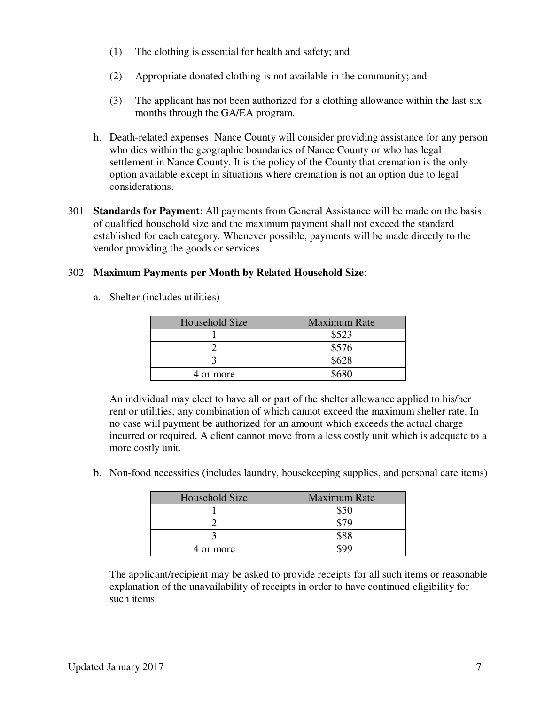- (1) The clothing is essential for health and safety; and
- (2) Appropriate donated clothing is not available in the community; and
- (3) The applicant has not been authorized for a clothing allowance within the last six months through the GA/EA program.
- h. Death-related expenses: Nance County will consider providing assistance for any person who dies within the geographic boundaries of Nance County or who has legal settlement in Nance County. It is the policy of the County that cremation is the only option available except in situations where cremation is not an option due to legal considerations.
- 301 **Standards for Payment**: All payments from General Assistance will be made on the basis of qualified household size and the maximum payment shall not exceed the standard established for each category. Whenever possible, payments will be made directly to the vendor providing the goods or services.

## 302 **Maximum Payments per Month by Related Household Size**:

a. Shelter (includes utilities)

| Household Size | <b>Maximum Rate</b> |
|----------------|---------------------|
|                | \$523               |
|                | \$576               |
|                | \$628               |
| 4 or more      |                     |

An individual may elect to have all or part of the shelter allowance applied to his/her rent or utilities, any combination of which cannot exceed the maximum shelter rate. In no case will payment be authorized for an amount which exceeds the actual charge incurred or required. A client cannot move from a less costly unit which is adequate to a more costly unit.

b. Non-food necessities (includes laundry, housekeeping supplies, and personal care items)

| Household Size | <b>Maximum Rate</b> |
|----------------|---------------------|
|                |                     |
|                |                     |
|                | \$88                |
| 4 or more      |                     |

The applicant/recipient may be asked to provide receipts for all such items or reasonable explanation of the unavailability of receipts in order to have continued eligibility for such items.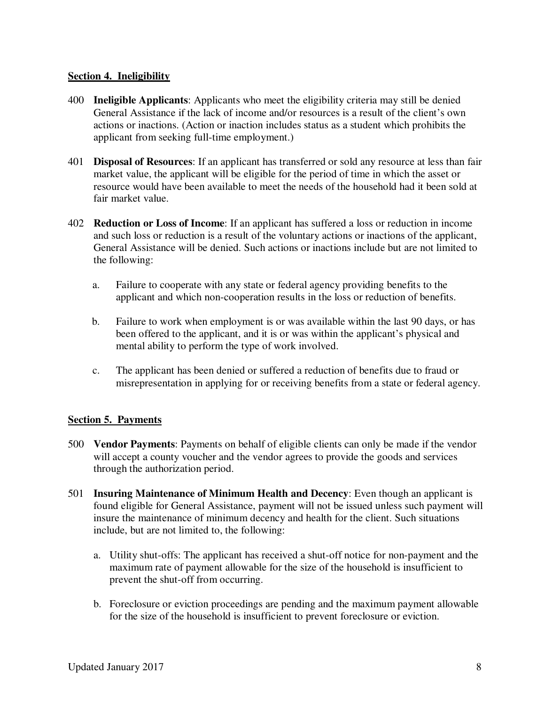## **Section 4. Ineligibility**

- 400 **Ineligible Applicants**: Applicants who meet the eligibility criteria may still be denied General Assistance if the lack of income and/or resources is a result of the client's own actions or inactions. (Action or inaction includes status as a student which prohibits the applicant from seeking full-time employment.)
- 401 **Disposal of Resources**: If an applicant has transferred or sold any resource at less than fair market value, the applicant will be eligible for the period of time in which the asset or resource would have been available to meet the needs of the household had it been sold at fair market value.
- 402 **Reduction or Loss of Income**: If an applicant has suffered a loss or reduction in income and such loss or reduction is a result of the voluntary actions or inactions of the applicant, General Assistance will be denied. Such actions or inactions include but are not limited to the following:
	- a. Failure to cooperate with any state or federal agency providing benefits to the applicant and which non-cooperation results in the loss or reduction of benefits.
	- b. Failure to work when employment is or was available within the last 90 days, or has been offered to the applicant, and it is or was within the applicant's physical and mental ability to perform the type of work involved.
	- c. The applicant has been denied or suffered a reduction of benefits due to fraud or misrepresentation in applying for or receiving benefits from a state or federal agency.

# **Section 5. Payments**

- 500 **Vendor Payments**: Payments on behalf of eligible clients can only be made if the vendor will accept a county voucher and the vendor agrees to provide the goods and services through the authorization period.
- 501 **Insuring Maintenance of Minimum Health and Decency**: Even though an applicant is found eligible for General Assistance, payment will not be issued unless such payment will insure the maintenance of minimum decency and health for the client. Such situations include, but are not limited to, the following:
	- a. Utility shut-offs: The applicant has received a shut-off notice for non-payment and the maximum rate of payment allowable for the size of the household is insufficient to prevent the shut-off from occurring.
	- b. Foreclosure or eviction proceedings are pending and the maximum payment allowable for the size of the household is insufficient to prevent foreclosure or eviction.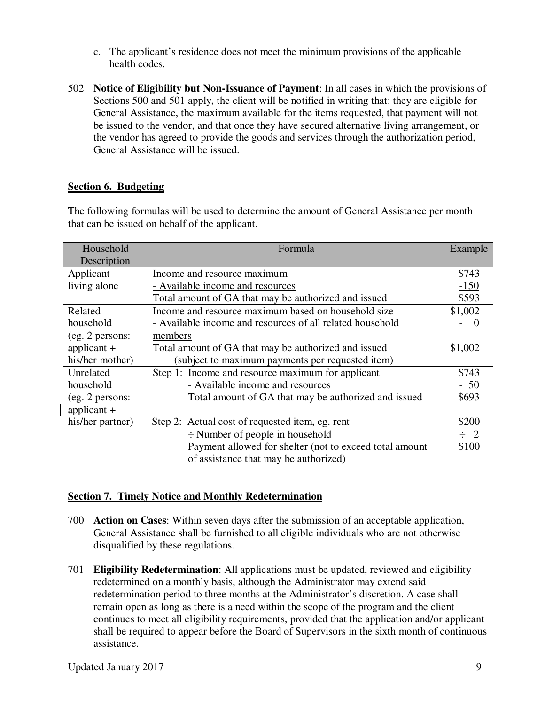- c. The applicant's residence does not meet the minimum provisions of the applicable health codes.
- 502 **Notice of Eligibility but Non-Issuance of Payment**: In all cases in which the provisions of Sections 500 and 501 apply, the client will be notified in writing that: they are eligible for General Assistance, the maximum available for the items requested, that payment will not be issued to the vendor, and that once they have secured alternative living arrangement, or the vendor has agreed to provide the goods and services through the authorization period, General Assistance will be issued.

## **Section 6. Budgeting**

The following formulas will be used to determine the amount of General Assistance per month that can be issued on behalf of the applicant.

| Household        | Formula                                                   | Example  |
|------------------|-----------------------------------------------------------|----------|
| Description      |                                                           |          |
| Applicant        | Income and resource maximum                               |          |
| living alone     | - Available income and resources                          |          |
|                  | Total amount of GA that may be authorized and issued      | \$593    |
| Related          | Income and resource maximum based on household size       | \$1,002  |
| household        | - Available income and resources of all related household |          |
| (eg. 2 persons:  | members                                                   |          |
| applicant $+$    | Total amount of GA that may be authorized and issued      | \$1,002  |
| his/her mother)  | (subject to maximum payments per requested item)          |          |
| Unrelated        | Step 1: Income and resource maximum for applicant         | \$743    |
| household        | - Available income and resources                          | $-50$    |
| (eg. 2 persons:  | Total amount of GA that may be authorized and issued      | \$693    |
| applicant $+$    |                                                           |          |
| his/her partner) | Step 2: Actual cost of requested item, eg. rent           | \$200    |
|                  | $\div$ Number of people in household                      | $\div$ 2 |
|                  | Payment allowed for shelter (not to exceed total amount   | \$100    |
|                  | of assistance that may be authorized)                     |          |

#### **Section 7. Timely Notice and Monthly Redetermination**

- 700 **Action on Cases**: Within seven days after the submission of an acceptable application, General Assistance shall be furnished to all eligible individuals who are not otherwise disqualified by these regulations.
- 701 **Eligibility Redetermination**: All applications must be updated, reviewed and eligibility redetermined on a monthly basis, although the Administrator may extend said redetermination period to three months at the Administrator's discretion. A case shall remain open as long as there is a need within the scope of the program and the client continues to meet all eligibility requirements, provided that the application and/or applicant shall be required to appear before the Board of Supervisors in the sixth month of continuous assistance.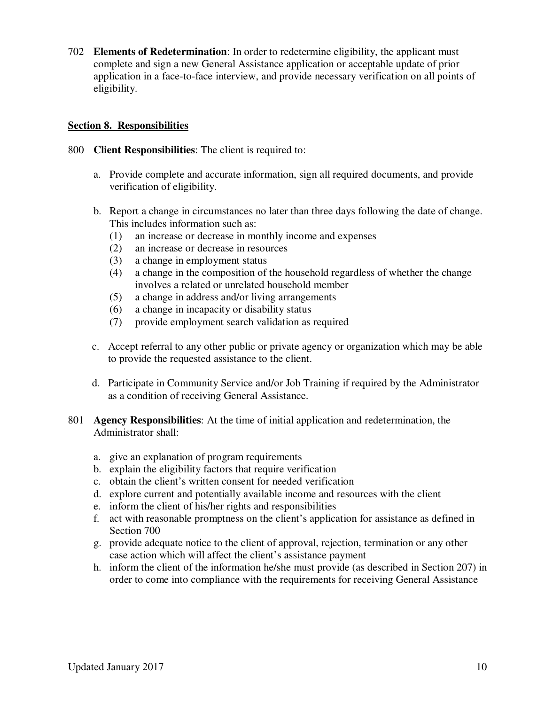702 **Elements of Redetermination**: In order to redetermine eligibility, the applicant must complete and sign a new General Assistance application or acceptable update of prior application in a face-to-face interview, and provide necessary verification on all points of eligibility.

## **Section 8. Responsibilities**

- 800 **Client Responsibilities**: The client is required to:
	- a. Provide complete and accurate information, sign all required documents, and provide verification of eligibility.
	- b. Report a change in circumstances no later than three days following the date of change. This includes information such as:
		- (1) an increase or decrease in monthly income and expenses
		- (2) an increase or decrease in resources
		- (3) a change in employment status
		- (4) a change in the composition of the household regardless of whether the change involves a related or unrelated household member
		- (5) a change in address and/or living arrangements
		- (6) a change in incapacity or disability status
		- (7) provide employment search validation as required
	- c. Accept referral to any other public or private agency or organization which may be able to provide the requested assistance to the client.
	- d. Participate in Community Service and/or Job Training if required by the Administrator as a condition of receiving General Assistance.
- 801 **Agency Responsibilities**: At the time of initial application and redetermination, the Administrator shall:
	- a. give an explanation of program requirements
	- b. explain the eligibility factors that require verification
	- c. obtain the client's written consent for needed verification
	- d. explore current and potentially available income and resources with the client
	- e. inform the client of his/her rights and responsibilities
	- f. act with reasonable promptness on the client's application for assistance as defined in Section 700
	- g. provide adequate notice to the client of approval, rejection, termination or any other case action which will affect the client's assistance payment
	- h. inform the client of the information he/she must provide (as described in Section 207) in order to come into compliance with the requirements for receiving General Assistance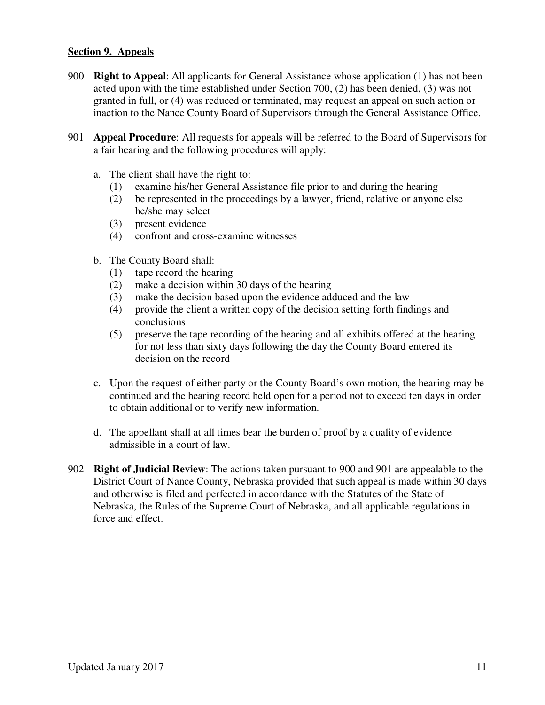#### **Section 9. Appeals**

- 900 **Right to Appeal**: All applicants for General Assistance whose application (1) has not been acted upon with the time established under Section 700, (2) has been denied, (3) was not granted in full, or (4) was reduced or terminated, may request an appeal on such action or inaction to the Nance County Board of Supervisors through the General Assistance Office.
- 901 **Appeal Procedure**: All requests for appeals will be referred to the Board of Supervisors for a fair hearing and the following procedures will apply:
	- a. The client shall have the right to:
		- (1) examine his/her General Assistance file prior to and during the hearing
		- (2) be represented in the proceedings by a lawyer, friend, relative or anyone else he/she may select
		- (3) present evidence
		- (4) confront and cross-examine witnesses
	- b. The County Board shall:
		- (1) tape record the hearing
		- (2) make a decision within 30 days of the hearing
		- (3) make the decision based upon the evidence adduced and the law
		- (4) provide the client a written copy of the decision setting forth findings and conclusions
		- (5) preserve the tape recording of the hearing and all exhibits offered at the hearing for not less than sixty days following the day the County Board entered its decision on the record
	- c. Upon the request of either party or the County Board's own motion, the hearing may be continued and the hearing record held open for a period not to exceed ten days in order to obtain additional or to verify new information.
	- d. The appellant shall at all times bear the burden of proof by a quality of evidence admissible in a court of law.
- 902 **Right of Judicial Review**: The actions taken pursuant to 900 and 901 are appealable to the District Court of Nance County, Nebraska provided that such appeal is made within 30 days and otherwise is filed and perfected in accordance with the Statutes of the State of Nebraska, the Rules of the Supreme Court of Nebraska, and all applicable regulations in force and effect.